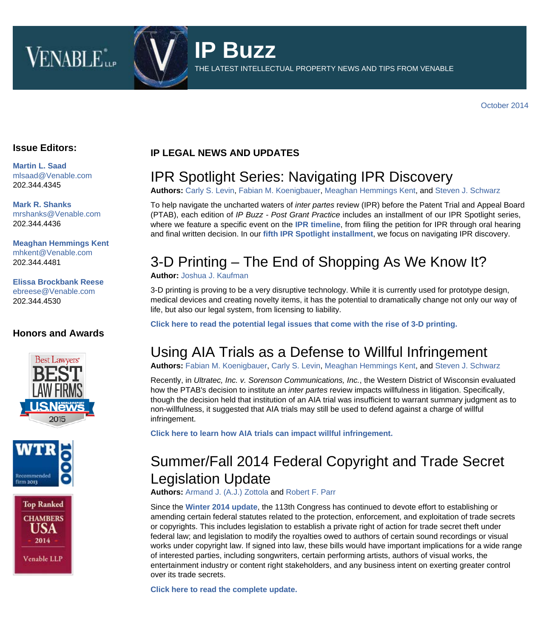



THE LATEST INTELLECTUAL PROPERTY NEWS AND TIPS FROM VENABLE

#### **Issue Editors:**

**[Martin L. Saad](http://www.venable.com/martin-l-saad)** [mlsaad@Venable.com](mailto:mlsaad@Venable.com) 202.344.4345

**[Mark R. Shanks](http://www.venable.com/Mark-R-Shanks)** [mrshanks@Venable.com](mailto:mrshanks@Venable.com) 202.344.4436

**[Meaghan Hemmings Kent](http://www.venable.com/Meaghan-H-Kent)** [mhkent@Venable.com](mailto:mhkent@Venable.com) 202.344.4481

**[Elissa Brockbank Reese](http://www.venable.com/Elissa-B-Reese)** [ebreese@Venable.com](mailto:ebreese@Venable.com) 202.344.4530

#### **Honors and Awards**







#### **IP LEGAL NEWS AND UPDATES**

### IPR Spotlight Series: Navigating IPR Discovery

**Authors:** [Carly S. Levin](http://www.venable.com/carly-s-levin/?utm_source=hubbard&utm_medium=email&utm_campaign=IPBuzz-Oct2014), [Fabian M. Koenigbauer](http://www.venable.com/fabian-m-koenigbauer/?utm_source=hubbard&utm_medium=email&utm_campaign=IPBuzz-Oct2014), [Meaghan Hemmings Kent,](http://www.venable.com/meaghan-h-kent/?utm_source=hubbard&utm_medium=email&utm_campaign=IPBuzz-Oct2014) and [Steven J. Schwarz](http://www.venable.com/steven-j-schwarz/?utm_source=hubbard&utm_medium=email&utm_campaign=IPBuzz-Oct2014)

To help navigate the uncharted waters of *inter partes* review (IPR) before the Patent Trial and Appeal Board (PTAB), each edition of *IP Buzz - Post Grant Practice* includes an installment of our IPR Spotlight series, where we feature a specific event on the **[IPR timeline](http://www.venable.com/files/upload/PTO_Summary_Timeline_for_Inter_Partes_Review.pdf)**, from filing the petition for IPR through oral hearing and final written decision. In our **[fifth IPR Spotlight installment](http://www.venable.com/ipr-spotlight-series-navigating-ipr-discovery-11-04-2014/)**, we focus on navigating IPR discovery.

# 3-D Printing – The End of Shopping As We Know It?

#### **Author:** [Joshua J. Kaufman](http://www.venable.com/joshua-j-kaufman/?utm_source=hubbard&utm_medium=email&utm_campaign=IPBuzz-Oct2014)

3-D printing is proving to be a very disruptive technology. While it is currently used for prototype design, medical devices and creating novelty items, it has the potential to dramatically change not only our way of life, but also our legal system, from licensing to liability.

**[Click here to read the potential legal issues that come with the rise of 3-D printing.](http://www.venable.com/3-d-printing---the-end-of-shopping-as-we-know-it-10-30-2014/?utm_source=hubbard&utm_medium=email&utm_campaign=IPBuzz-Oct2014)**

### Using AIA Trials as a Defense to Willful Infringement

**Authors:** [Fabian M. Koenigbauer](http://www.venable.com/fabian-m-koenigbauer/?utm_source=hubbard&utm_medium=email&utm_campaign=IPBuzz-Oct2014), [Carly S. Levin](http://www.venable.com/carly-s-levin/?utm_source=hubbard&utm_medium=email&utm_campaign=IPBuzz-Oct2014), [Meaghan Hemmings Kent,](http://www.venable.com/meaghan-h-kent/?utm_source=hubbard&utm_medium=email&utm_campaign=IPBuzz-Oct2014) and [Steven J. Schwarz](http://www.venable.com/steven-j-schwarz/?utm_source=hubbard&utm_medium=email&utm_campaign=IPBuzz-Oct2014)

Recently, in *Ultratec, Inc. v. Sorenson Communications, Inc.*, the Western District of Wisconsin evaluated how the PTAB's decision to institute an *inter partes* review impacts willfulness in litigation. Specifically, though the decision held that institution of an AIA trial was insufficient to warrant summary judgment as to non-willfulness, it suggested that AIA trials may still be used to defend against a charge of willful infringement.

**[Click here to learn how AIA trials can impact willful infringement.](http://www.venable.com/Using-AIA-trials-as-a-defense-to-willful-infringement)**

# Summer/Fall 2014 Federal Copyright and Trade Secret Legislation Update

**Authors:** [Armand J. \(A.J.\) Zottola](http://www.venable.com/armand-j-zottola/?utm_source=hubbard&utm_medium=email&utm_campaign=IPBuzz-Oct2014) and [Robert F. Parr](http://www.venable.com/robert-f-parr/?utm_source=hubbard&utm_medium=email&utm_campaign=IPBuzz-Oct2014)

Since the **[Winter 2014 update](http://www.venable.com/winter-2014-federal-copyright-and-trade-secret-legislation-update-02-19-2014/?utm_source=hubbard&utm_medium=email&utm_campaign=IPBuzz-Oct2014)**, the 113th Congress has continued to devote effort to establishing or amending certain federal statutes related to the protection, enforcement, and exploitation of trade secrets or copyrights. This includes legislation to establish a private right of action for trade secret theft under federal law; and legislation to modify the royalties owed to authors of certain sound recordings or visual works under copyright law. If signed into law, these bills would have important implications for a wide range of interested parties, including songwriters, certain performing artists, authors of visual works, the entertainment industry or content right stakeholders, and any business intent on exerting greater control over its trade secrets.

**[Click here to read the complete update.](http://www.venable.com/files/Publication/8f1e7103-985d-4bc9-b4a8-9aaff9f28470/Presentation/PublicationAttachment/c789628d-fab1-45d6-88a9-a3a37b34d9ed/Digital Rights Review - Summer-Fall 2014 Federal Copyright and Trade Secret Legislati.pdf)**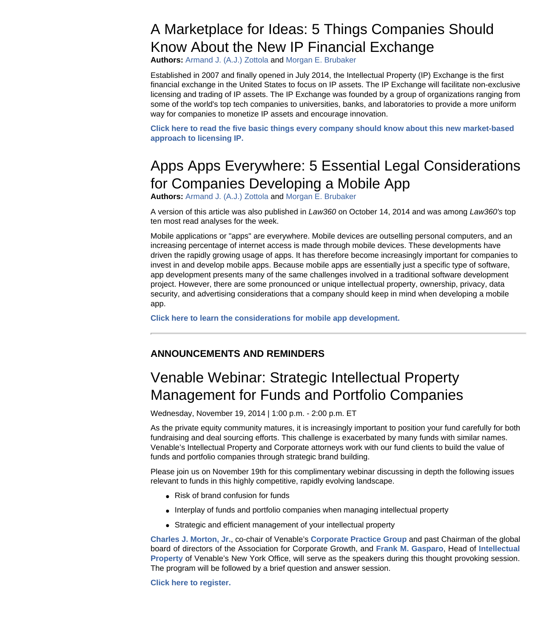### A Marketplace for Ideas: 5 Things Companies Should Know About the New IP Financial Exchange

**Authors:** [Armand J. \(A.J.\) Zottola](http://www.venable.com/armand-j-zottola/?utm_source=hubbard&utm_medium=email&utm_campaign=IPBuzz-Oct2014) and [Morgan E. Brubaker](http://www.venable.com/morgan-e-brubaker/?utm_source=hubbard&utm_medium=email&utm_campaign=IPBuzz-Oct2014)

Established in 2007 and finally opened in July 2014, the Intellectual Property (IP) Exchange is the first financial exchange in the United States to focus on IP assets. The IP Exchange will facilitate non-exclusive licensing and trading of IP assets. The IP Exchange was founded by a group of organizations ranging from some of the world's top tech companies to universities, banks, and laboratories to provide a more uniform way for companies to monetize IP assets and encourage innovation.

**[Click here to read the five basic things every company should know about this new market-based](http://www.venable.com/a-marketplace-for-ideas--5-things-companies-should-know-about-the-new-ip-financial-exchange/?utm_source=hubbard&utm_medium=email&utm_campaign=IPBuzz-Oct2014) [approach to licensing IP.](http://www.venable.com/a-marketplace-for-ideas--5-things-companies-should-know-about-the-new-ip-financial-exchange/?utm_source=hubbard&utm_medium=email&utm_campaign=IPBuzz-Oct2014)**

# Apps Apps Everywhere: 5 Essential Legal Considerations for Companies Developing a Mobile App

**Authors:** [Armand J. \(A.J.\) Zottola](http://www.venable.com/armand-j-zottola/?utm_source=hubbard&utm_medium=email&utm_campaign=IPBuzz-Oct2014) and [Morgan E. Brubaker](http://www.venable.com/morgan-e-brubaker/?utm_source=hubbard&utm_medium=email&utm_campaign=IPBuzz-Oct2014)

A version of this article was also published in *Law360* on October 14, 2014 and was among *Law360's* top ten most read analyses for the week.

Mobile applications or "apps" are everywhere. Mobile devices are outselling personal computers, and an increasing percentage of internet access is made through mobile devices. These developments have driven the rapidly growing usage of apps. It has therefore become increasingly important for companies to invest in and develop mobile apps. Because mobile apps are essentially just a specific type of software, app development presents many of the same challenges involved in a traditional software development project. However, there are some pronounced or unique intellectual property, ownership, privacy, data security, and advertising considerations that a company should keep in mind when developing a mobile app.

**[Click here to learn the considerations for mobile app development.](http://www.venable.com/apps-apps-everywhere-5-essential-legal-considerations-for-companies-developing-a-mobile-app/?utm_source=hubbard&utm_medium=email&utm_campaign=IPBuzz-Oct2014)**

#### **ANNOUNCEMENTS AND REMINDERS**

# Venable Webinar: Strategic Intellectual Property Management for Funds and Portfolio Companies

Wednesday, November 19, 2014 | 1:00 p.m. - 2:00 p.m. ET

As the private equity community matures, it is increasingly important to position your fund carefully for both fundraising and deal sourcing efforts. This challenge is exacerbated by many funds with similar names. Venable's Intellectual Property and Corporate attorneys work with our fund clients to build the value of funds and portfolio companies through strategic brand building.

Please join us on November 19th for this complimentary webinar discussing in depth the following issues relevant to funds in this highly competitive, rapidly evolving landscape.

- Risk of brand confusion for funds
- Interplay of funds and portfolio companies when managing intellectual property
- Strategic and efficient management of your intellectual property

**[Charles J. Morton, Jr.](http://www.venable.com/charles-j-morton/?utm_source=hubbard&utm_medium=email&utm_campaign=IPBuzz-Oct2014)**, co-chair of Venable's **[Corporate Practice Group](http://www.venable.com/Corporate?utm_source=hubbard&utm_medium=email&utm_campaign=IPBuzz-Oct2014)** and past Chairman of the global board of directors of the Association for Corporate Growth, and **[Frank M. Gasparo](http://www.venable.com/frank-m-gasparo/?utm_source=hubbard&utm_medium=email&utm_campaign=IPBuzz-Oct2014)**, Head of **[Intellectua](http://www.venable.com/Intellectual-Property-Overview-Practices?utm_source=hubbard&utm_medium=email&utm_campaign=IPBuzz-Oct2014)l [Property](http://www.venable.com/Intellectual-Property-Overview-Practices?utm_source=hubbard&utm_medium=email&utm_campaign=IPBuzz-Oct2014)** of Venable's New York Office, will serve as the speakers during this thought provoking session. The program will be followed by a brief question and answer session.

**[Click here to register.](http://events.venable.com/events/strategic-intellectual-property-management-for-funds-and-portfolio-companies/event-summary-2c25f6ca054742b88f3c20964d73807a.aspx?i=40debb81-83aa-4637-879f-bbf38de7dd3a)**